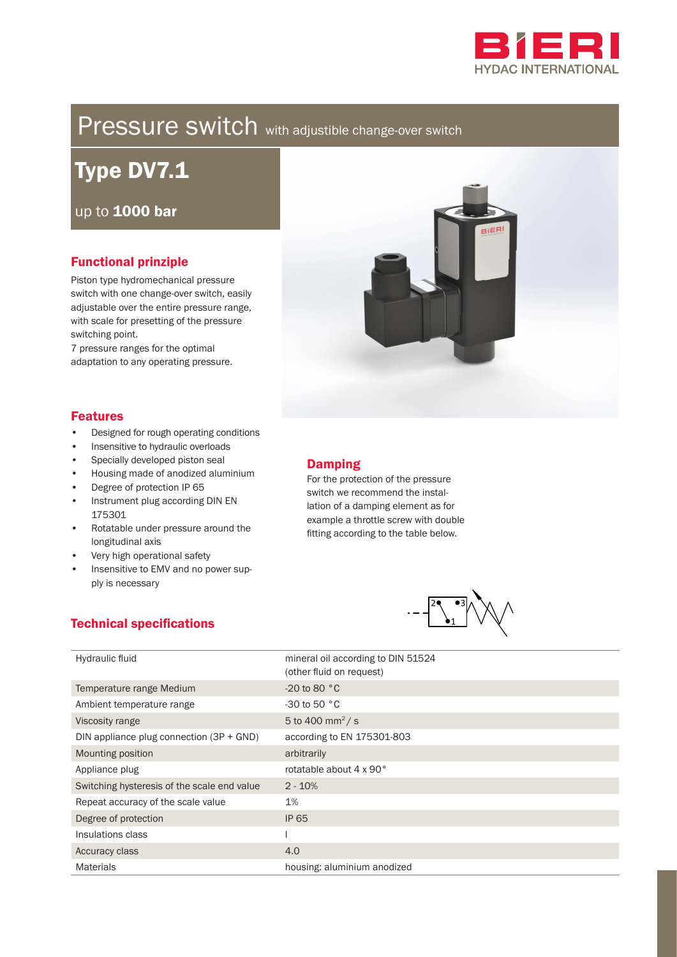

# Pressure switch with adjustible change-over switch

Type DV7.1

up to 1000 bar

# Functional prinziple

Piston type hydromechanical pressure switch with one change-over switch, easily adjustable over the entire pressure range, with scale for presetting of the pressure switching point.

7 pressure ranges for the optimal adaptation to any operating pressure.



- Designed for rough operating conditions
- Insensitive to hydraulic overloads
- Specially developed piston seal
- Housing made of anodized aluminium
- Degree of protection IP 65
- Instrument plug according DIN EN 175301
- Rotatable under pressure around the longitudinal axis
- Very high operational safety

Technical specifications

• Insensitive to EMV and no power supply is necessary

#### Damping

For the protection of the pressure switch we recommend the installation of a damping element as for example a throttle screw with double fitting according to the table below.



| Hydraulic fluid                             | mineral oil according to DIN 51524<br>(other fluid on request) |
|---------------------------------------------|----------------------------------------------------------------|
| Temperature range Medium                    | $-20$ to 80 $^{\circ}$ C                                       |
| Ambient temperature range                   | $-30$ to 50 $^{\circ}$ C                                       |
| Viscosity range                             | 5 to 400 mm <sup>2</sup> /s                                    |
| DIN appliance plug connection $(3P + GND)$  | according to EN 175301-803                                     |
| Mounting position                           | arbitrarily                                                    |
| Appliance plug                              | rotatable about 4 x 90°                                        |
| Switching hysteresis of the scale end value | $2 - 10%$                                                      |
| Repeat accuracy of the scale value          | 1%                                                             |
| Degree of protection                        | <b>IP 65</b>                                                   |
| Insulations class                           |                                                                |
| Accuracy class                              | 4.0                                                            |
|                                             |                                                                |

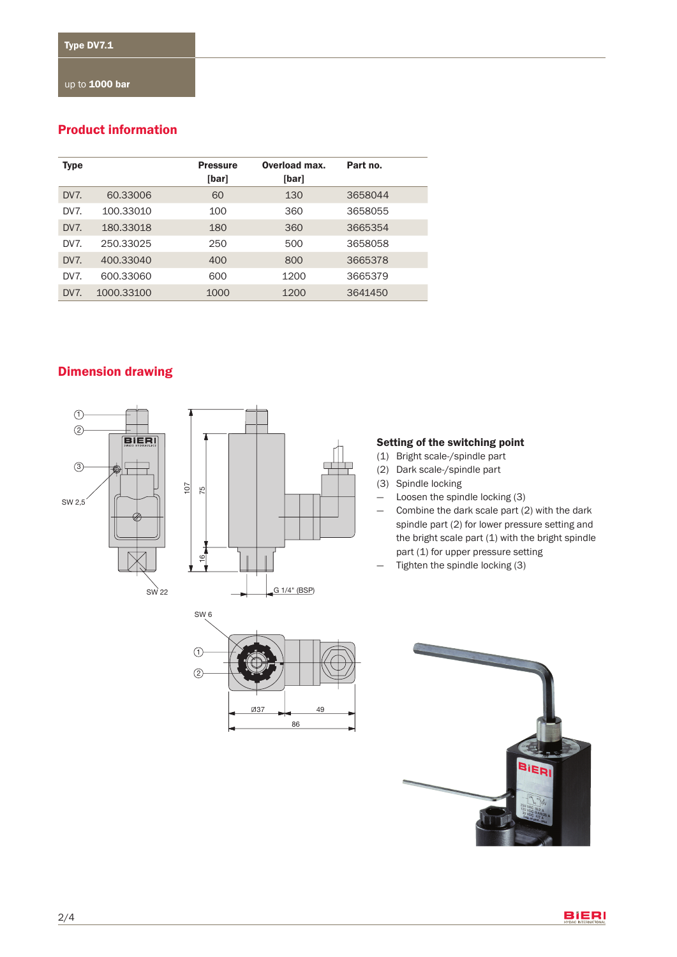## Product information

| Type            |            | <b>Pressure</b><br>[bar] | Overload max.<br>[bar] | Part no. |
|-----------------|------------|--------------------------|------------------------|----------|
| DV7.            | 60.33006   | 60                       | 130                    | 3658044  |
| DV <sub>7</sub> | 100.33010  | 100                      | 360                    | 3658055  |
| DV <sub>7</sub> | 180.33018  | 180                      | 360                    | 3665354  |
| DV <sub>7</sub> | 250.33025  | 250                      | 500                    | 3658058  |
| DV <sub>7</sub> | 400.33040  | 400                      | 800                    | 3665378  |
| DV <sub>7</sub> | 600.33060  | 600                      | 1200                   | 3665379  |
| DV <sub>7</sub> | 1000.33100 | 1000                     | 1200                   | 3641450  |

# Dimension drawing





#### Setting of the switching point

- (1) Bright scale-/spindle part
- (2) Dark scale-/spindle part
- (3) Spindle locking
- Loosen the spindle locking (3)
- Combine the dark scale part (2) with the dark spindle part (2) for lower pressure setting and the bright scale part  $(1)$  with the bright spindle part (1) for upper pressure setting
- Tighten the spindle locking (3)

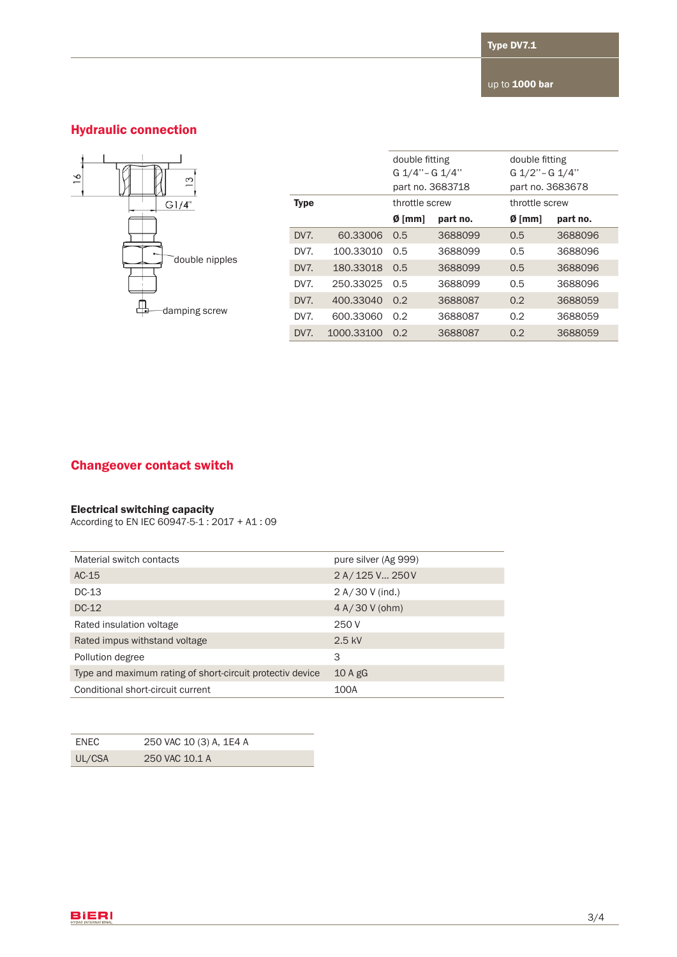# Hydraulic connection



|                 |            | double fitting   |          | double fitting |                  |  |
|-----------------|------------|------------------|----------|----------------|------------------|--|
|                 |            | G 1/4" - G 1/4"  |          |                | G 1/2" - G 1/4"  |  |
|                 |            | part no. 3683718 |          |                | part no. 3683678 |  |
| <b>Type</b>     |            | throttle screw   |          | throttle screw |                  |  |
|                 |            | $Ø$ [mm]         | part no. | $Ø$ [mm]       | part no.         |  |
| DV7.            | 60.33006   | 0.5              | 3688099  | 0.5            | 3688096          |  |
| DV <sub>7</sub> | 100.33010  | 0.5              | 3688099  | 0.5            | 3688096          |  |
| DV7.            | 180.33018  | 0.5              | 3688099  | 0.5            | 3688096          |  |
| DV <sub>7</sub> | 250.33025  | 0.5              | 3688099  | 0.5            | 3688096          |  |
| DV7.            | 400.33040  | 0.2              | 3688087  | 0.2            | 3688059          |  |
| DV7.            | 600.33060  | 0.2              | 3688087  | 0.2            | 3688059          |  |
| DV7.            | 1000.33100 | 0.2              | 3688087  | 0.2            | 3688059          |  |

## Changeover contact switch

#### Electrical switching capacity

According to EN IEC 60947-5-1 : 2017 + A1 : 09

| Material switch contacts                                  | pure silver (Ag 999) |
|-----------------------------------------------------------|----------------------|
| $AC-15$                                                   | 2 A/125 V 250 V      |
| $DC-13$                                                   | 2 A / 30 V (ind.)    |
| $DC-12$                                                   | $4 A/30 V$ (ohm)     |
| Rated insulation voltage                                  | 250 V                |
| Rated impus withstand voltage                             | $2.5$ kV             |
| Pollution degree                                          | 3                    |
| Type and maximum rating of short-circuit protectiv device | $10A$ gG             |
| Conditional short-circuit current                         | 100A                 |

| ENEC   | 250 VAC 10 (3) A, 1E4 A |
|--------|-------------------------|
| UL/CSA | 250 VAC 10.1 A          |